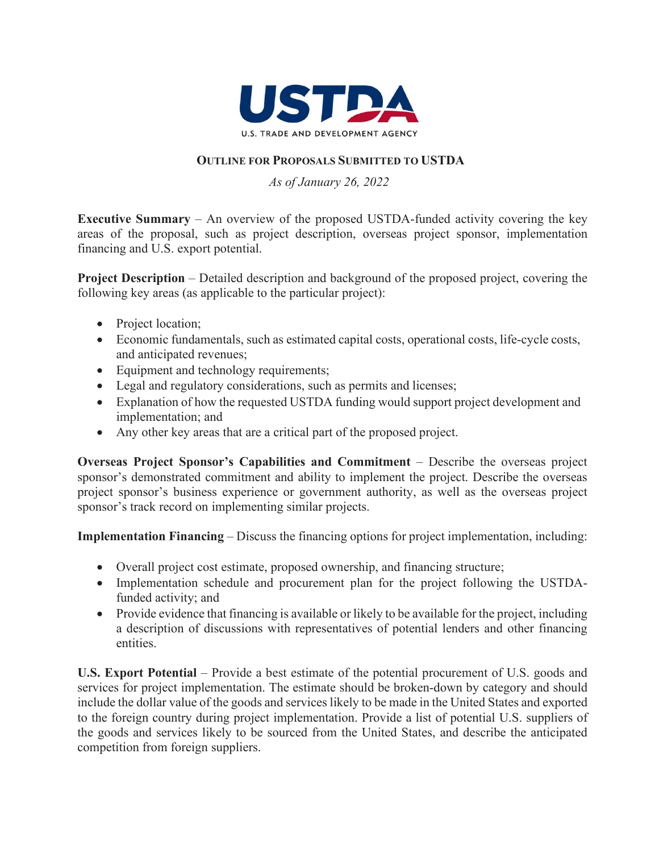

## **OUTLINE FOR PROPOSALS SUBMITTED TO USTDA**

## *As of January 26, 2022*

**Executive Summary** – An overview of the proposed USTDA-funded activity covering the key areas of the proposal, such as project description, overseas project sponsor, implementation financing and U.S. export potential.

**Project Description** – Detailed description and background of the proposed project, covering the following key areas (as applicable to the particular project):

- Project location;
- Economic fundamentals, such as estimated capital costs, operational costs, life-cycle costs, and anticipated revenues;
- Equipment and technology requirements;
- Legal and regulatory considerations, such as permits and licenses;
- Explanation of how the requested USTDA funding would support project development and implementation; and
- Any other key areas that are a critical part of the proposed project.

**Overseas Project Sponsor's Capabilities and Commitment – Describe the overseas project** sponsor's demonstrated commitment and ability to implement the project. Describe the overseas project sponsor's business experience or government authority, as well as the overseas project sponsor's track record on implementing similar projects.

**Implementation Financing** – Discuss the financing options for project implementation, including:

- Overall project cost estimate, proposed ownership, and financing structure;
- Implementation schedule and procurement plan for the project following the USTDAfunded activity; and
- Provide evidence that financing is available or likely to be available for the project, including a description of discussions with representatives of potential lenders and other financing entities.

**U.S. Export Potential** – Provide a best estimate of the potential procurement of U.S. goods and services for project implementation. The estimate should be broken-down by category and should include the dollar value of the goods and services likely to be made in the United States and exported to the foreign country during project implementation. Provide a list of potential U.S. suppliers of the goods and services likely to be sourced from the United States, and describe the anticipated competition from foreign suppliers.